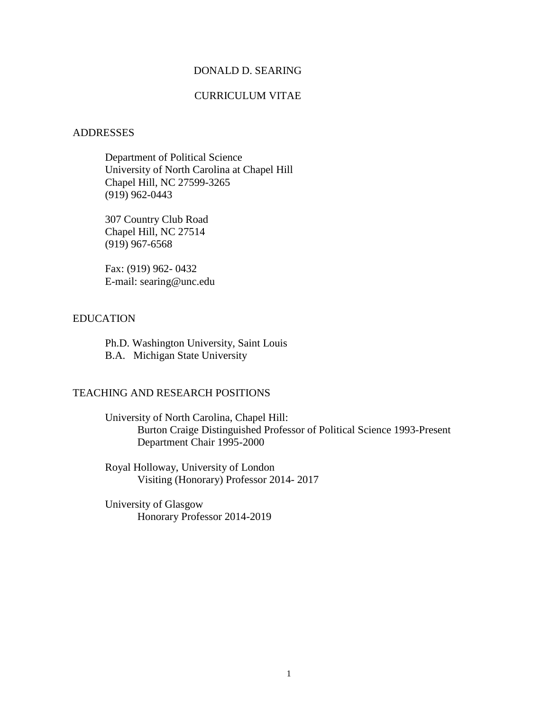### DONALD D. SEARING

# CURRICULUM VITAE

#### ADDRESSES

Department of Political Science University of North Carolina at Chapel Hill Chapel Hill, NC 27599-3265 (919) 962-0443

307 Country Club Road Chapel Hill, NC 27514 (919) 967-6568

Fax: (919) 962- 0432 E-mail: searing@unc.edu

# EDUCATION

Ph.D. Washington University, Saint Louis B.A. Michigan State University

# TEACHING AND RESEARCH POSITIONS

University of North Carolina, Chapel Hill: Burton Craige Distinguished Professor of Political Science 1993-Present Department Chair 1995-2000

Royal Holloway, University of London Visiting (Honorary) Professor 2014- 2017

University of Glasgow Honorary Professor 2014-2019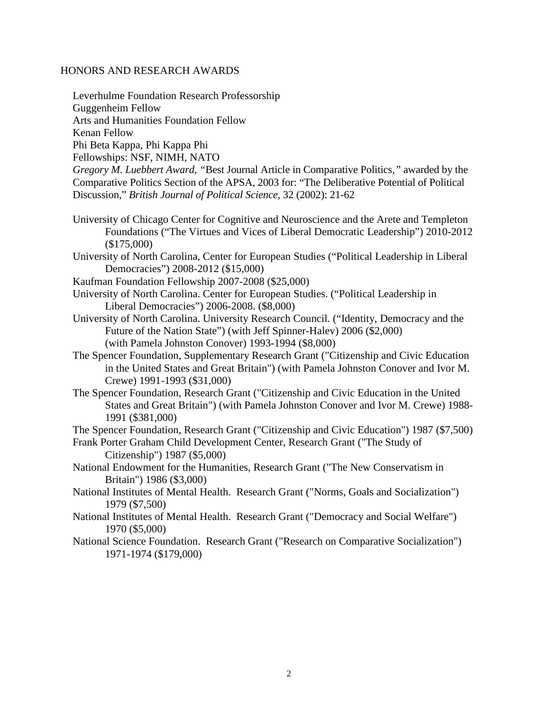### HONORS AND RESEARCH AWARDS

Leverhulme Foundation Research Professorship Guggenheim Fellow Arts and Humanities Foundation Fellow Kenan Fellow Phi Beta Kappa, Phi Kappa Phi Fellowships: NSF, NIMH, NATO

*Gregory M. Luebbert Award, "*Best Journal Article in Comparative Politics,*"* awarded by the Comparative Politics Section of the APSA, 2003 for: "The Deliberative Potential of Political Discussion," *British Journal of Political Science*, 32 (2002): 21-62

- University of Chicago Center for Cognitive and Neuroscience and the Arete and Templeton Foundations ("The Virtues and Vices of Liberal Democratic Leadership") 2010-2012 (\$175,000)
- University of North Carolina, Center for European Studies ("Political Leadership in Liberal Democracies") 2008-2012 (\$15,000)
- Kaufman Foundation Fellowship 2007-2008 (\$25,000)
- University of North Carolina. Center for European Studies. ("Political Leadership in Liberal Democracies") 2006-2008. (\$8,000)
- University of North Carolina. University Research Council. ("Identity, Democracy and the Future of the Nation State") (with Jeff Spinner-Halev) 2006 (\$2,000) (with Pamela Johnston Conover) 1993-1994 (\$8,000)
- The Spencer Foundation, Supplementary Research Grant ("Citizenship and Civic Education in the United States and Great Britain") (with Pamela Johnston Conover and Ivor M. Crewe) 1991-1993 (\$31,000)
- The Spencer Foundation, Research Grant ("Citizenship and Civic Education in the United States and Great Britain") (with Pamela Johnston Conover and Ivor M. Crewe) 1988- 1991 (\$381,000)

The Spencer Foundation, Research Grant ("Citizenship and Civic Education") 1987 (\$7,500)

- Frank Porter Graham Child Development Center, Research Grant ("The Study of Citizenship") 1987 (\$5,000)
- National Endowment for the Humanities, Research Grant ("The New Conservatism in Britain") 1986 (\$3,000)
- National Institutes of Mental Health. Research Grant ("Norms, Goals and Socialization") 1979 (\$7,500)
- National Institutes of Mental Health. Research Grant ("Democracy and Social Welfare") 1970 (\$5,000)
- National Science Foundation. Research Grant ("Research on Comparative Socialization") 1971-1974 (\$179,000)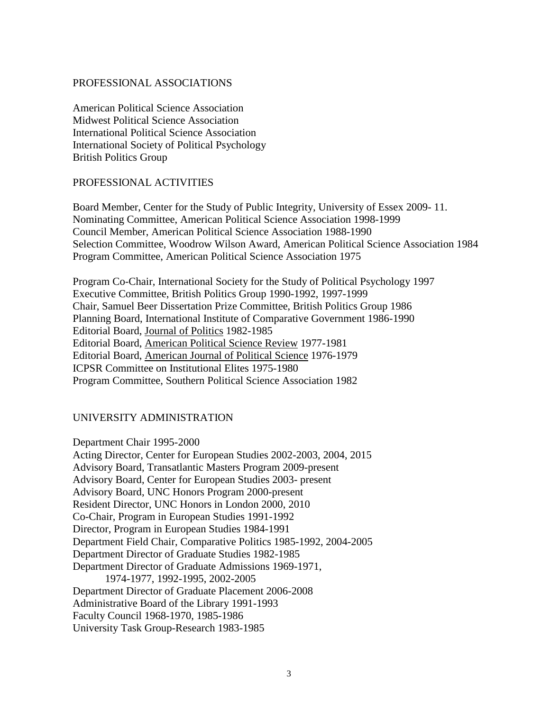### PROFESSIONAL ASSOCIATIONS

American Political Science Association Midwest Political Science Association International Political Science Association International Society of Political Psychology British Politics Group

#### PROFESSIONAL ACTIVITIES

Board Member, Center for the Study of Public Integrity, University of Essex 2009- 11. Nominating Committee, American Political Science Association 1998-1999 Council Member, American Political Science Association 1988-1990 Selection Committee, Woodrow Wilson Award, American Political Science Association 1984 Program Committee, American Political Science Association 1975

Program Co-Chair, International Society for the Study of Political Psychology 1997 Executive Committee, British Politics Group 1990-1992, 1997-1999 Chair, Samuel Beer Dissertation Prize Committee, British Politics Group 1986 Planning Board, International Institute of Comparative Government 1986-1990 Editorial Board, Journal of Politics 1982-1985 Editorial Board, American Political Science Review 1977-1981 Editorial Board, American Journal of Political Science 1976-1979 ICPSR Committee on Institutional Elites 1975-1980 Program Committee, Southern Political Science Association 1982

### UNIVERSITY ADMINISTRATION

Department Chair 1995-2000 Acting Director, Center for European Studies 2002-2003, 2004, 2015 Advisory Board, Transatlantic Masters Program 2009-present Advisory Board, Center for European Studies 2003- present Advisory Board, UNC Honors Program 2000-present Resident Director, UNC Honors in London 2000, 2010 Co-Chair, Program in European Studies 1991-1992 Director, Program in European Studies 1984-1991 Department Field Chair, Comparative Politics 1985-1992, 2004-2005 Department Director of Graduate Studies 1982-1985 Department Director of Graduate Admissions 1969-1971, 1974-1977, 1992-1995, 2002-2005 Department Director of Graduate Placement 2006-2008 Administrative Board of the Library 1991-1993 Faculty Council 1968-1970, 1985-1986 University Task Group-Research 1983-1985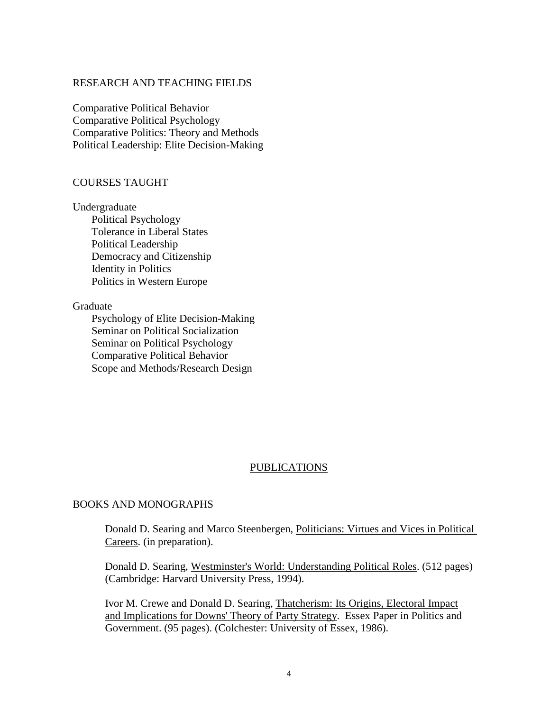### RESEARCH AND TEACHING FIELDS

Comparative Political Behavior Comparative Political Psychology Comparative Politics: Theory and Methods Political Leadership: Elite Decision-Making

#### COURSES TAUGHT

Undergraduate Political Psychology Tolerance in Liberal States Political Leadership Democracy and Citizenship Identity in Politics Politics in Western Europe

#### Graduate

 Psychology of Elite Decision-Making Seminar on Political Socialization Seminar on Political Psychology Comparative Political Behavior Scope and Methods/Research Design

### PUBLICATIONS

# BOOKS AND MONOGRAPHS

Donald D. Searing and Marco Steenbergen, Politicians: Virtues and Vices in Political Careers. (in preparation).

Donald D. Searing, Westminster's World: Understanding Political Roles. (512 pages) (Cambridge: Harvard University Press, 1994).

Ivor M. Crewe and Donald D. Searing, Thatcherism: Its Origins, Electoral Impact and Implications for Downs' Theory of Party Strategy. Essex Paper in Politics and Government. (95 pages). (Colchester: University of Essex, 1986).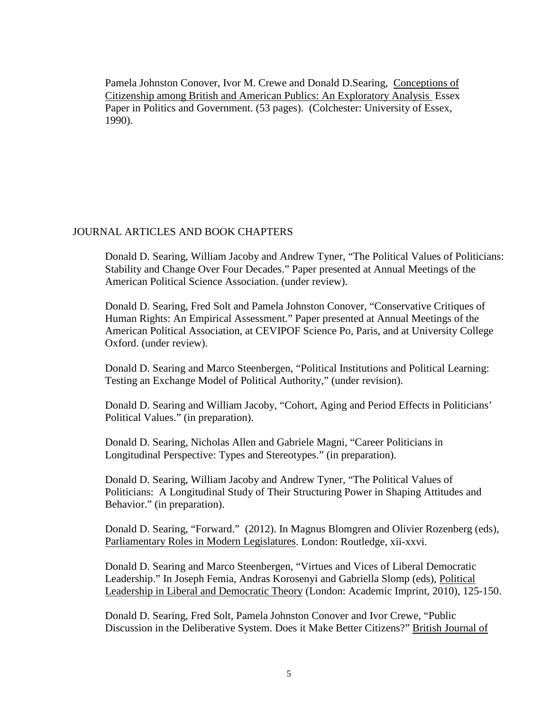Pamela Johnston Conover, Ivor M. Crewe and Donald D.Searing, Conceptions of Citizenship among British and American Publics: An Exploratory Analysis Essex Paper in Politics and Government. (53 pages). (Colchester: University of Essex, 1990).

# JOURNAL ARTICLES AND BOOK CHAPTERS

Donald D. Searing, William Jacoby and Andrew Tyner, "The Political Values of Politicians: Stability and Change Over Four Decades." Paper presented at Annual Meetings of the American Political Science Association. (under review).

Donald D. Searing, Fred Solt and Pamela Johnston Conover, "Conservative Critiques of Human Rights: An Empirical Assessment." Paper presented at Annual Meetings of the American Political Association, at CEVIPOF Science Po, Paris, and at University College Oxford. (under review).

Donald D. Searing and Marco Steenbergen, "Political Institutions and Political Learning: Testing an Exchange Model of Political Authority," (under revision).

Donald D. Searing and William Jacoby, "Cohort, Aging and Period Effects in Politicians' Political Values." (in preparation).

Donald D. Searing, Nicholas Allen and Gabriele Magni, "Career Politicians in Longitudinal Perspective: Types and Stereotypes." (in preparation).

Donald D. Searing, William Jacoby and Andrew Tyner, "The Political Values of Politicians: A Longitudinal Study of Their Structuring Power in Shaping Attitudes and Behavior." (in preparation).

Donald D. Searing, "Forward." (2012). In Magnus Blomgren and Olivier Rozenberg (eds), Parliamentary Roles in Modern Legislatures. London: Routledge, xii-xxvi.

Donald D. Searing and Marco Steenbergen, "Virtues and Vices of Liberal Democratic Leadership." In Joseph Femia, Andras Korosenyi and Gabriella Slomp (eds), Political Leadership in Liberal and Democratic Theory (London: Academic Imprint, 2010), 125-150.

Donald D. Searing, Fred Solt, Pamela Johnston Conover and Ivor Crewe, "Public Discussion in the Deliberative System. Does it Make Better Citizens?" British Journal of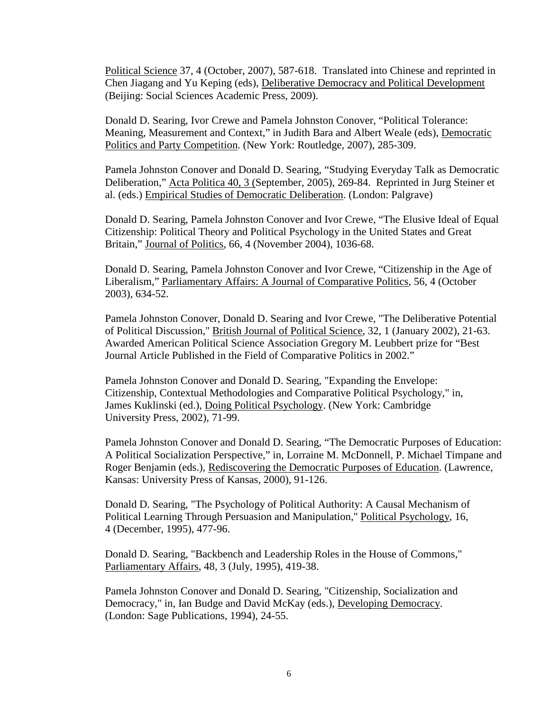Political Science 37, 4 (October, 2007), 587-618. Translated into Chinese and reprinted in Chen Jiagang and Yu Keping (eds), Deliberative Democracy and Political Development (Beijing: Social Sciences Academic Press, 2009).

Donald D. Searing, Ivor Crewe and Pamela Johnston Conover, "Political Tolerance: Meaning, Measurement and Context," in Judith Bara and Albert Weale (eds), Democratic Politics and Party Competition. (New York: Routledge, 2007), 285-309.

Pamela Johnston Conover and Donald D. Searing, "Studying Everyday Talk as Democratic Deliberation," Acta Politica 40, 3 (September, 2005), 269-84. Reprinted in Jurg Steiner et al. (eds.) Empirical Studies of Democratic Deliberation. (London: Palgrave)

Donald D. Searing, Pamela Johnston Conover and Ivor Crewe, "The Elusive Ideal of Equal Citizenship: Political Theory and Political Psychology in the United States and Great Britain," Journal of Politics, 66, 4 (November 2004), 1036-68.

Donald D. Searing, Pamela Johnston Conover and Ivor Crewe, "Citizenship in the Age of Liberalism," Parliamentary Affairs: A Journal of Comparative Politics, 56, 4 (October 2003), 634-52.

Pamela Johnston Conover, Donald D. Searing and Ivor Crewe, "The Deliberative Potential of Political Discussion," British Journal of Political Science, 32, 1 (January 2002), 21-63. Awarded American Political Science Association Gregory M. Leubbert prize for "Best Journal Article Published in the Field of Comparative Politics in 2002."

Pamela Johnston Conover and Donald D. Searing, "Expanding the Envelope: Citizenship, Contextual Methodologies and Comparative Political Psychology," in, James Kuklinski (ed.), Doing Political Psychology. (New York: Cambridge University Press, 2002), 71-99.

Pamela Johnston Conover and Donald D. Searing, "The Democratic Purposes of Education: A Political Socialization Perspective," in, Lorraine M. McDonnell, P. Michael Timpane and Roger Benjamin (eds.), Rediscovering the Democratic Purposes of Education. (Lawrence, Kansas: University Press of Kansas, 2000), 91-126.

Donald D. Searing, "The Psychology of Political Authority: A Causal Mechanism of Political Learning Through Persuasion and Manipulation," Political Psychology, 16, 4 (December, 1995), 477-96.

Donald D. Searing, "Backbench and Leadership Roles in the House of Commons," Parliamentary Affairs, 48, 3 (July, 1995), 419-38.

Pamela Johnston Conover and Donald D. Searing, "Citizenship, Socialization and Democracy," in, Ian Budge and David McKay (eds.), Developing Democracy. (London: Sage Publications, 1994), 24-55.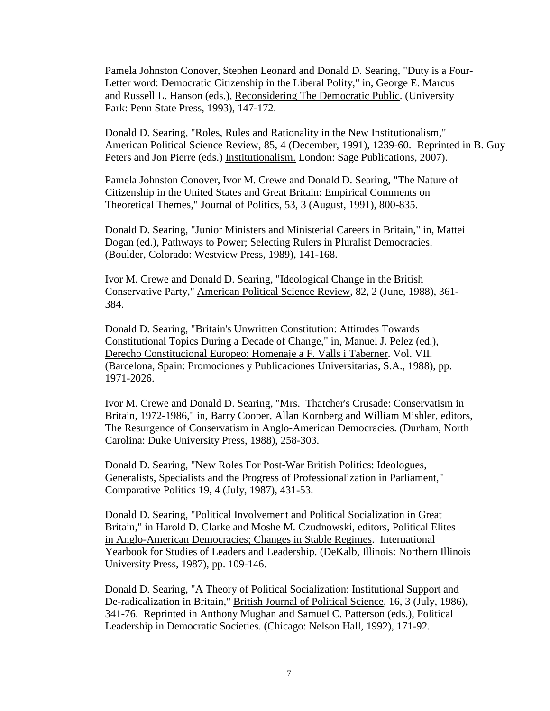Pamela Johnston Conover, Stephen Leonard and Donald D. Searing, "Duty is a Four-Letter word: Democratic Citizenship in the Liberal Polity," in, George E. Marcus and Russell L. Hanson (eds.), Reconsidering The Democratic Public. (University Park: Penn State Press, 1993), 147-172.

Donald D. Searing, "Roles, Rules and Rationality in the New Institutionalism," American Political Science Review, 85, 4 (December, 1991), 1239-60. Reprinted in B. Guy Peters and Jon Pierre (eds.) Institutionalism. London: Sage Publications, 2007).

Pamela Johnston Conover, Ivor M. Crewe and Donald D. Searing, "The Nature of Citizenship in the United States and Great Britain: Empirical Comments on Theoretical Themes," Journal of Politics, 53, 3 (August, 1991), 800-835.

Donald D. Searing, "Junior Ministers and Ministerial Careers in Britain," in, Mattei Dogan (ed.), Pathways to Power; Selecting Rulers in Pluralist Democracies. (Boulder, Colorado: Westview Press, 1989), 141-168.

Ivor M. Crewe and Donald D. Searing, "Ideological Change in the British Conservative Party," American Political Science Review, 82, 2 (June, 1988), 361- 384.

Donald D. Searing, "Britain's Unwritten Constitution: Attitudes Towards Constitutional Topics During a Decade of Change," in, Manuel J. Pelez (ed.), Derecho Constitucional Europeo; Homenaje a F. Valls i Taberner. Vol. VII. (Barcelona, Spain: Promociones y Publicaciones Universitarias, S.A., 1988), pp. 1971-2026.

Ivor M. Crewe and Donald D. Searing, "Mrs. Thatcher's Crusade: Conservatism in Britain, 1972-1986," in, Barry Cooper, Allan Kornberg and William Mishler, editors, The Resurgence of Conservatism in Anglo-American Democracies. (Durham, North Carolina: Duke University Press, 1988), 258-303.

Donald D. Searing, "New Roles For Post-War British Politics: Ideologues, Generalists, Specialists and the Progress of Professionalization in Parliament," Comparative Politics 19, 4 (July, 1987), 431-53.

Donald D. Searing, "Political Involvement and Political Socialization in Great Britain," in Harold D. Clarke and Moshe M. Czudnowski, editors, Political Elites in Anglo-American Democracies; Changes in Stable Regimes. International Yearbook for Studies of Leaders and Leadership. (DeKalb, Illinois: Northern Illinois University Press, 1987), pp. 109-146.

Donald D. Searing, "A Theory of Political Socialization: Institutional Support and De-radicalization in Britain," British Journal of Political Science, 16, 3 (July, 1986), 341-76. Reprinted in Anthony Mughan and Samuel C. Patterson (eds.), Political Leadership in Democratic Societies. (Chicago: Nelson Hall, 1992), 171-92.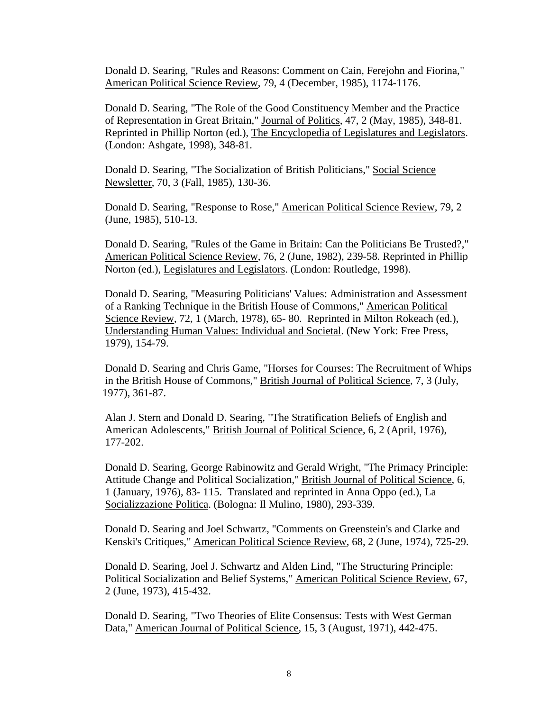Donald D. Searing, "Rules and Reasons: Comment on Cain, Ferejohn and Fiorina," American Political Science Review, 79, 4 (December, 1985), 1174-1176.

Donald D. Searing, "The Role of the Good Constituency Member and the Practice of Representation in Great Britain," Journal of Politics, 47, 2 (May, 1985), 348-81. Reprinted in Phillip Norton (ed.), The Encyclopedia of Legislatures and Legislators. (London: Ashgate, 1998), 348-81.

Donald D. Searing, "The Socialization of British Politicians," Social Science Newsletter, 70, 3 (Fall, 1985), 130-36.

Donald D. Searing, "Response to Rose," American Political Science Review, 79, 2 (June, 1985), 510-13.

Donald D. Searing, "Rules of the Game in Britain: Can the Politicians Be Trusted?," American Political Science Review, 76, 2 (June, 1982), 239-58. Reprinted in Phillip Norton (ed.), Legislatures and Legislators. (London: Routledge, 1998).

Donald D. Searing, "Measuring Politicians' Values: Administration and Assessment of a Ranking Technique in the British House of Commons," American Political Science Review, 72, 1 (March, 1978), 65- 80. Reprinted in Milton Rokeach (ed.), Understanding Human Values: Individual and Societal. (New York: Free Press, 1979), 154-79.

Donald D. Searing and Chris Game, "Horses for Courses: The Recruitment of Whips in the British House of Commons," British Journal of Political Science, 7, 3 (July, 1977), 361-87.

Alan J. Stern and Donald D. Searing, "The Stratification Beliefs of English and American Adolescents," British Journal of Political Science, 6, 2 (April, 1976), 177-202.

Donald D. Searing, George Rabinowitz and Gerald Wright, "The Primacy Principle: Attitude Change and Political Socialization," British Journal of Political Science, 6, 1 (January, 1976), 83- 115. Translated and reprinted in Anna Oppo (ed.), La Socializzazione Politica. (Bologna: Il Mulino, 1980), 293-339.

Donald D. Searing and Joel Schwartz, "Comments on Greenstein's and Clarke and Kenski's Critiques," American Political Science Review, 68, 2 (June, 1974), 725-29.

Donald D. Searing, Joel J. Schwartz and Alden Lind, "The Structuring Principle: Political Socialization and Belief Systems," American Political Science Review, 67, 2 (June, 1973), 415-432.

Donald D. Searing, "Two Theories of Elite Consensus: Tests with West German Data," American Journal of Political Science, 15, 3 (August, 1971), 442-475.